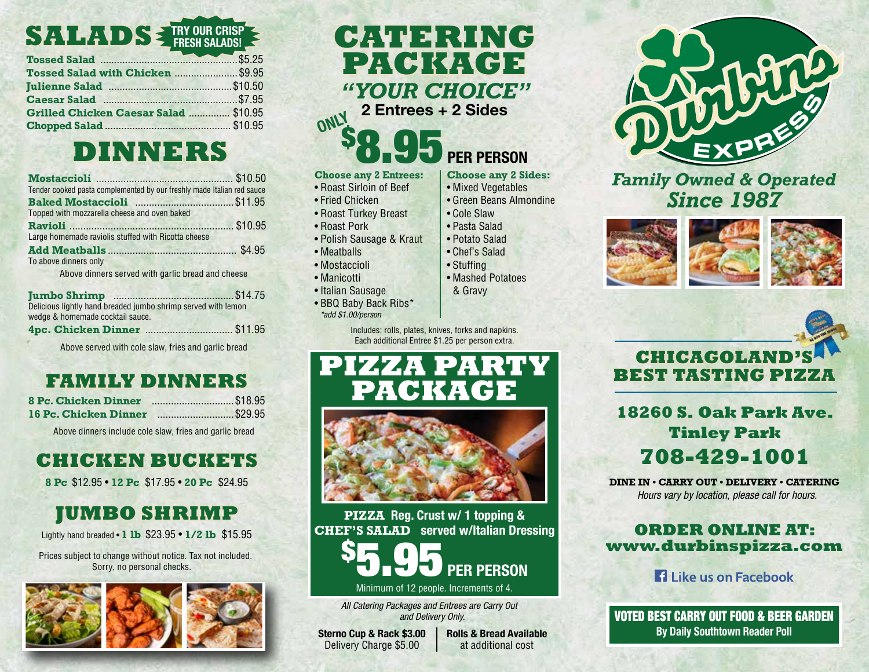#### **SALADS TRY OUR CRISP FRESH SALADS!**

| Tossed Salad <b>Manual Salad</b> \$5.25 |  |
|-----------------------------------------|--|
| Tossed Salad with Chicken  \$9.95       |  |
|                                         |  |
| Caesar Salad 37.95                      |  |
| Grilled Chicken Caesar Salad  \$10.95   |  |
|                                         |  |

# **DINNERS**

| Tender cooked pasta complemented by our freshly made Italian red sauce |  |
|------------------------------------------------------------------------|--|
|                                                                        |  |
| Topped with mozzarella cheese and oven baked                           |  |
|                                                                        |  |
| Large homemade raviolis stuffed with Ricotta cheese                    |  |
|                                                                        |  |
| To above dinners only                                                  |  |
| Above dinners served with garlic bread and cheese                      |  |

| Delicious lightly hand breaded jumbo shrimp served with lemon |  |
|---------------------------------------------------------------|--|
| wedge & homemade cocktail sauce.                              |  |
|                                                               |  |

Above served with cole slaw, fries and garlic bread

## **FAMILY DINNERS**

| <b>8 Pc. Chicken Dinner</b>  | \$18.95 |
|------------------------------|---------|
| <b>16 Pc. Chicken Dinner</b> | \$29.95 |

Above dinners include cole slaw, fries and garlic bread

# **CHICKEN BUCKETS**

**8 Pc** \$12.95 • **12 Pc** \$17.95 • **20 Pc** \$24.95

# **JUMBO SHRIMP**

Lightly hand breaded • **1 lb** \$23.95 • **1/2 lb** \$15.95

Prices subject to change without notice. Tax not included. Sorry, no personal checks.



# **CATERING PACKAGE** *"YOUR CHOICE"*

**2 Entrees + 2 Sides**

# 8.95 **PER PERSON**

• Mashed Potatoes & Gravy

• Cole Slaw • Pasta Salad • Potato Salad • Chef's Salad • Stuffing

**Choose any 2 Sides:** • Mixed Vegetables • Green Beans Almondine

#### **Choose any 2 Entrees:**

- Roast Sirloin of Beef
- Fried Chicken

\$

**ONLY**

- Roast Turkey Breast
- Roast Pork
- Polish Sausage & Kraut
- Meatballs
- Mostaccioli
- Manicotti
- Italian Sausage
- BBQ Baby Back Ribs\* *\*add \$1.00/person*

Includes: rolls, plates, knives, forks and napkins. Each additional Entree \$1.25 per person extra.





**PIZZA Reg. Crust w/ 1 topping & CHEF'S SALAD served w/Italian Dressing**



*All Catering Packages and Entrees are Carry Out and Delivery Only.*

**Sterno Cup & Rack \$3.00** Delivery Charge \$5.00

**Rolls & Bread Available** at additional cost



### *Family Owned & Operated Since 1987*





**18260 S. Oak Park Ave. Tinley Park 708-429-1001**

**DINE IN • CARRY OUT • DELIVERY • CATERING** *Hours vary by location, please call for hours.*

#### **ORDER ONLINE AT: www.durbinspizza.com**

**El Like us on Facebook** 

VOTED BEST CARRY OUT FOOD & BEER GARDEN **By Daily Southtown Reader Poll**